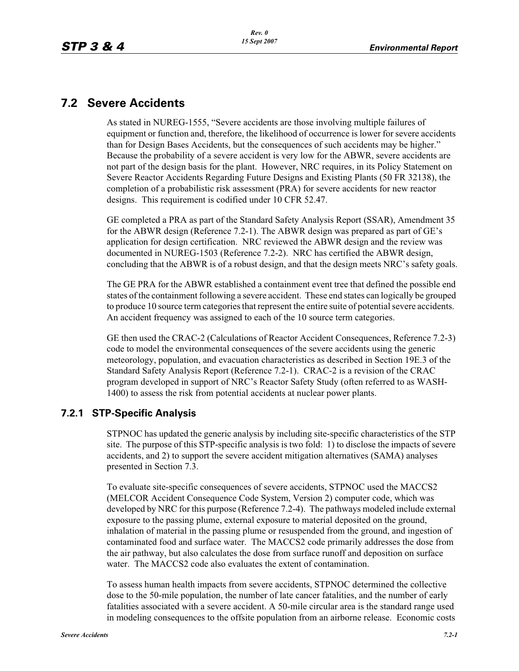# **7.2 Severe Accidents**

As stated in NUREG-1555, "Severe accidents are those involving multiple failures of equipment or function and, therefore, the likelihood of occurrence is lower for severe accidents than for Design Bases Accidents, but the consequences of such accidents may be higher." Because the probability of a severe accident is very low for the ABWR, severe accidents are not part of the design basis for the plant. However, NRC requires, in its Policy Statement on Severe Reactor Accidents Regarding Future Designs and Existing Plants (50 FR 32138), the completion of a probabilistic risk assessment (PRA) for severe accidents for new reactor designs. This requirement is codified under 10 CFR 52.47.

GE completed a PRA as part of the Standard Safety Analysis Report (SSAR), Amendment 35 for the ABWR design (Reference 7.2-1). The ABWR design was prepared as part of GE's application for design certification. NRC reviewed the ABWR design and the review was documented in NUREG-1503 (Reference 7.2-2). NRC has certified the ABWR design, concluding that the ABWR is of a robust design, and that the design meets NRC's safety goals.

The GE PRA for the ABWR established a containment event tree that defined the possible end states of the containment following a severe accident. These end states can logically be grouped to produce 10 source term categories that represent the entire suite of potential severe accidents. An accident frequency was assigned to each of the 10 source term categories.

GE then used the CRAC-2 (Calculations of Reactor Accident Consequences, Reference 7.2-3) code to model the environmental consequences of the severe accidents using the generic meteorology, population, and evacuation characteristics as described in Section 19E.3 of the Standard Safety Analysis Report (Reference 7.2-1). CRAC-2 is a revision of the CRAC program developed in support of NRC's Reactor Safety Study (often referred to as WASH-1400) to assess the risk from potential accidents at nuclear power plants.

## **7.2.1 STP-Specific Analysis**

STPNOC has updated the generic analysis by including site-specific characteristics of the STP site. The purpose of this STP-specific analysis is two fold: 1) to disclose the impacts of severe accidents, and 2) to support the severe accident mitigation alternatives (SAMA) analyses presented in Section 7.3.

To evaluate site-specific consequences of severe accidents, STPNOC used the MACCS2 (MELCOR Accident Consequence Code System, Version 2) computer code, which was developed by NRC for this purpose (Reference 7.2-4). The pathways modeled include external exposure to the passing plume, external exposure to material deposited on the ground, inhalation of material in the passing plume or resuspended from the ground, and ingestion of contaminated food and surface water. The MACCS2 code primarily addresses the dose from the air pathway, but also calculates the dose from surface runoff and deposition on surface water. The MACCS2 code also evaluates the extent of contamination.

To assess human health impacts from severe accidents, STPNOC determined the collective dose to the 50-mile population, the number of late cancer fatalities, and the number of early fatalities associated with a severe accident. A 50-mile circular area is the standard range used in modeling consequences to the offsite population from an airborne release. Economic costs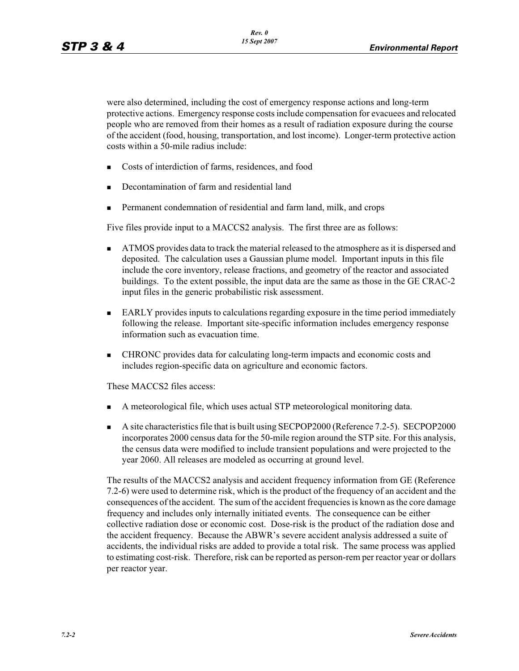were also determined, including the cost of emergency response actions and long-term protective actions. Emergency response costs include compensation for evacuees and relocated people who are removed from their homes as a result of radiation exposure during the course of the accident (food, housing, transportation, and lost income). Longer-term protective action costs within a 50-mile radius include:

- -Costs of interdiction of farms, residences, and food
- -Decontamination of farm and residential land
- -Permanent condemnation of residential and farm land, milk, and crops

Five files provide input to a MACCS2 analysis. The first three are as follows:

- - ATMOS provides data to track the material released to the atmosphere as it is dispersed and deposited. The calculation uses a Gaussian plume model. Important inputs in this file include the core inventory, release fractions, and geometry of the reactor and associated buildings. To the extent possible, the input data are the same as those in the GE CRAC-2 input files in the generic probabilistic risk assessment.
- **EARLY** provides inputs to calculations regarding exposure in the time period immediately following the release. Important site-specific information includes emergency response information such as evacuation time.
- - CHRONC provides data for calculating long-term impacts and economic costs and includes region-specific data on agriculture and economic factors.

These MACCS2 files access:

- -A meteorological file, which uses actual STP meteorological monitoring data.
- - A site characteristics file that is built using SECPOP2000 (Reference 7.2-5). SECPOP2000 incorporates 2000 census data for the 50-mile region around the STP site. For this analysis, the census data were modified to include transient populations and were projected to the year 2060. All releases are modeled as occurring at ground level.

The results of the MACCS2 analysis and accident frequency information from GE (Reference 7.2-6) were used to determine risk, which is the product of the frequency of an accident and the consequences of the accident. The sum of the accident frequencies is known as the core damage frequency and includes only internally initiated events. The consequence can be either collective radiation dose or economic cost. Dose-risk is the product of the radiation dose and the accident frequency. Because the ABWR's severe accident analysis addressed a suite of accidents, the individual risks are added to provide a total risk. The same process was applied to estimating cost-risk. Therefore, risk can be reported as person-rem per reactor year or dollars per reactor year.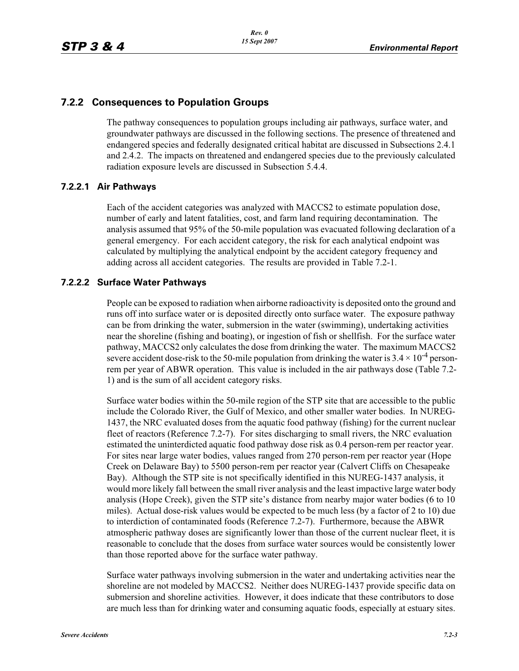## **7.2.2 Consequences to Population Groups**

The pathway consequences to population groups including air pathways, surface water, and groundwater pathways are discussed in the following sections. The presence of threatened and endangered species and federally designated critical habitat are discussed in Subsections 2.4.1 and 2.4.2. The impacts on threatened and endangered species due to the previously calculated radiation exposure levels are discussed in Subsection 5.4.4.

#### **7.2.2.1 Air Pathways**

Each of the accident categories was analyzed with MACCS2 to estimate population dose, number of early and latent fatalities, cost, and farm land requiring decontamination. The analysis assumed that 95% of the 50-mile population was evacuated following declaration of a general emergency. For each accident category, the risk for each analytical endpoint was calculated by multiplying the analytical endpoint by the accident category frequency and adding across all accident categories. The results are provided in Table 7.2-1.

#### **7.2.2.2 Surface Water Pathways**

People can be exposed to radiation when airborne radioactivity is deposited onto the ground and runs off into surface water or is deposited directly onto surface water. The exposure pathway can be from drinking the water, submersion in the water (swimming), undertaking activities near the shoreline (fishing and boating), or ingestion of fish or shellfish. For the surface water pathway, MACCS2 only calculates the dose from drinking the water. The maximum MACCS2 severe accident dose-risk to the 50-mile population from drinking the water is  $3.4 \times 10^{-4}$  personrem per year of ABWR operation. This value is included in the air pathways dose (Table 7.2- 1) and is the sum of all accident category risks.

Surface water bodies within the 50-mile region of the STP site that are accessible to the public include the Colorado River, the Gulf of Mexico, and other smaller water bodies. In NUREG-1437, the NRC evaluated doses from the aquatic food pathway (fishing) for the current nuclear fleet of reactors (Reference 7.2-7). For sites discharging to small rivers, the NRC evaluation estimated the uninterdicted aquatic food pathway dose risk as 0.4 person-rem per reactor year. For sites near large water bodies, values ranged from 270 person-rem per reactor year (Hope Creek on Delaware Bay) to 5500 person-rem per reactor year (Calvert Cliffs on Chesapeake Bay). Although the STP site is not specifically identified in this NUREG-1437 analysis, it would more likely fall between the small river analysis and the least impactive large water body analysis (Hope Creek), given the STP site's distance from nearby major water bodies (6 to 10 miles). Actual dose-risk values would be expected to be much less (by a factor of 2 to 10) due to interdiction of contaminated foods (Reference 7.2-7). Furthermore, because the ABWR atmospheric pathway doses are significantly lower than those of the current nuclear fleet, it is reasonable to conclude that the doses from surface water sources would be consistently lower than those reported above for the surface water pathway.

Surface water pathways involving submersion in the water and undertaking activities near the shoreline are not modeled by MACCS2. Neither does NUREG-1437 provide specific data on submersion and shoreline activities. However, it does indicate that these contributors to dose are much less than for drinking water and consuming aquatic foods, especially at estuary sites.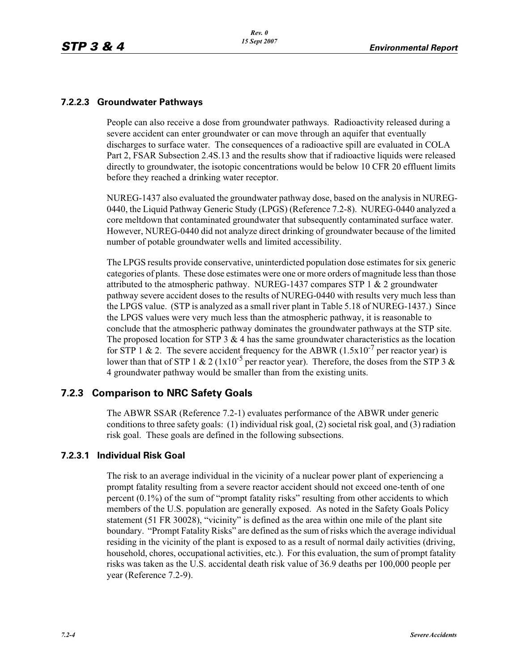## **7.2.2.3 Groundwater Pathways**

People can also receive a dose from groundwater pathways. Radioactivity released during a severe accident can enter groundwater or can move through an aquifer that eventually discharges to surface water. The consequences of a radioactive spill are evaluated in COLA Part 2, FSAR Subsection 2.4S.13 and the results show that if radioactive liquids were released directly to groundwater, the isotopic concentrations would be below 10 CFR 20 effluent limits before they reached a drinking water receptor.

NUREG-1437 also evaluated the groundwater pathway dose, based on the analysis in NUREG-0440, the Liquid Pathway Generic Study (LPGS) (Reference 7.2-8). NUREG-0440 analyzed a core meltdown that contaminated groundwater that subsequently contaminated surface water. However, NUREG-0440 did not analyze direct drinking of groundwater because of the limited number of potable groundwater wells and limited accessibility.

The LPGS results provide conservative, uninterdicted population dose estimates for six generic categories of plants. These dose estimates were one or more orders of magnitude less than those attributed to the atmospheric pathway. NUREG-1437 compares STP 1 & 2 groundwater pathway severe accident doses to the results of NUREG-0440 with results very much less than the LPGS value. (STP is analyzed as a small river plant in Table 5.18 of NUREG-1437.) Since the LPGS values were very much less than the atmospheric pathway, it is reasonable to conclude that the atmospheric pathway dominates the groundwater pathways at the STP site. The proposed location for STP  $3 \& 4$  has the same groundwater characteristics as the location for STP 1 & 2. The severe accident frequency for the ABWR  $(1.5x10^{-7})^7$  per reactor year) is lower than that of STP 1 & 2 (1x10<sup>-5</sup> per reactor year). Therefore, the doses from the STP 3 & 4 groundwater pathway would be smaller than from the existing units.

## **7.2.3 Comparison to NRC Safety Goals**

The ABWR SSAR (Reference 7.2-1) evaluates performance of the ABWR under generic conditions to three safety goals: (1) individual risk goal, (2) societal risk goal, and (3) radiation risk goal. These goals are defined in the following subsections.

## **7.2.3.1 Individual Risk Goal**

The risk to an average individual in the vicinity of a nuclear power plant of experiencing a prompt fatality resulting from a severe reactor accident should not exceed one-tenth of one percent (0.1%) of the sum of "prompt fatality risks" resulting from other accidents to which members of the U.S. population are generally exposed. As noted in the Safety Goals Policy statement (51 FR 30028), "vicinity" is defined as the area within one mile of the plant site boundary. "Prompt Fatality Risks" are defined as the sum of risks which the average individual residing in the vicinity of the plant is exposed to as a result of normal daily activities (driving, household, chores, occupational activities, etc.). For this evaluation, the sum of prompt fatality risks was taken as the U.S. accidental death risk value of 36.9 deaths per 100,000 people per year (Reference 7.2-9).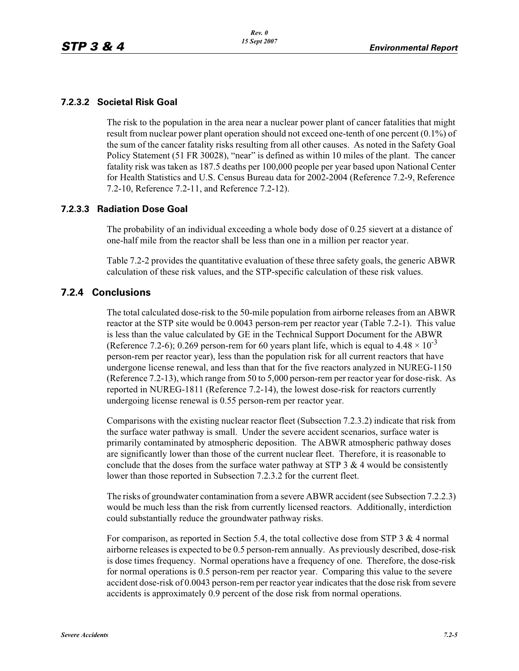#### **7.2.3.2 Societal Risk Goal**

The risk to the population in the area near a nuclear power plant of cancer fatalities that might result from nuclear power plant operation should not exceed one-tenth of one percent (0.1%) of the sum of the cancer fatality risks resulting from all other causes. As noted in the Safety Goal Policy Statement (51 FR 30028), "near" is defined as within 10 miles of the plant. The cancer fatality risk was taken as 187.5 deaths per 100,000 people per year based upon National Center for Health Statistics and U.S. Census Bureau data for 2002-2004 (Reference 7.2-9, Reference 7.2-10, Reference 7.2-11, and Reference 7.2-12).

#### **7.2.3.3 Radiation Dose Goal**

The probability of an individual exceeding a whole body dose of 0.25 sievert at a distance of one-half mile from the reactor shall be less than one in a million per reactor year.

Table 7.2-2 provides the quantitative evaluation of these three safety goals, the generic ABWR calculation of these risk values, and the STP-specific calculation of these risk values.

## **7.2.4 Conclusions**

The total calculated dose-risk to the 50-mile population from airborne releases from an ABWR reactor at the STP site would be 0.0043 person-rem per reactor year (Table 7.2-1). This value is less than the value calculated by GE in the Technical Support Document for the ABWR (Reference 7.2-6); 0.269 person-rem for 60 years plant life, which is equal to  $4.48 \times 10^{-3}$ person-rem per reactor year), less than the population risk for all current reactors that have undergone license renewal, and less than that for the five reactors analyzed in NUREG-1150 (Reference 7.2-13), which range from 50 to 5,000 person-rem per reactor year for dose-risk. As reported in NUREG-1811 (Reference 7.2-14), the lowest dose-risk for reactors currently undergoing license renewal is 0.55 person-rem per reactor year.

Comparisons with the existing nuclear reactor fleet (Subsection 7.2.3.2) indicate that risk from the surface water pathway is small. Under the severe accident scenarios, surface water is primarily contaminated by atmospheric deposition. The ABWR atmospheric pathway doses are significantly lower than those of the current nuclear fleet. Therefore, it is reasonable to conclude that the doses from the surface water pathway at STP  $3 \& 4$  would be consistently lower than those reported in Subsection 7.2.3.2 for the current fleet.

The risks of groundwater contamination from a severe ABWR accident (see Subsection 7.2.2.3) would be much less than the risk from currently licensed reactors. Additionally, interdiction could substantially reduce the groundwater pathway risks.

For comparison, as reported in Section 5.4, the total collective dose from STP 3 & 4 normal airborne releases is expected to be 0.5 person-rem annually. As previously described, dose-risk is dose times frequency. Normal operations have a frequency of one. Therefore, the dose-risk for normal operations is 0.5 person-rem per reactor year. Comparing this value to the severe accident dose-risk of 0.0043 person-rem per reactor year indicates that the dose risk from severe accidents is approximately 0.9 percent of the dose risk from normal operations.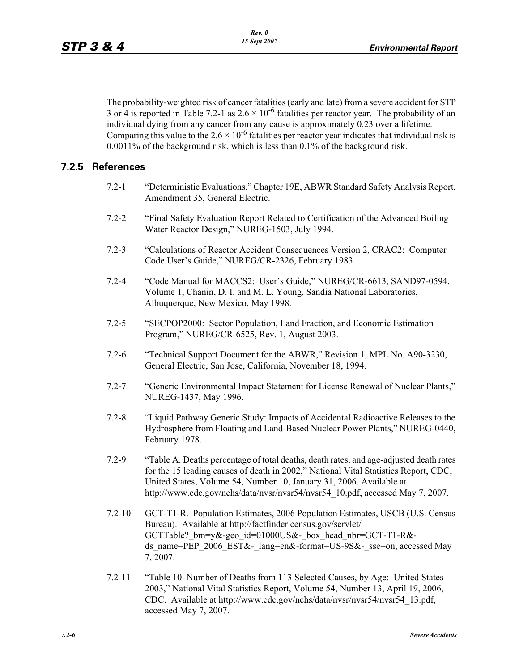The probability-weighted risk of cancer fatalities (early and late) from a severe accident for STP 3 or 4 is reported in Table 7.2-1 as  $2.6 \times 10^{-6}$  fatalities per reactor year. The probability of an individual dying from any cancer from any cause is approximately 0.23 over a lifetime. Comparing this value to the  $2.6 \times 10^{-6}$  fatalities per reactor year indicates that individual risk is 0.0011% of the background risk, which is less than 0.1% of the background risk.

## **7.2.5 References**

- 7.2-1 "Deterministic Evaluations," Chapter 19E, ABWR Standard Safety Analysis Report, Amendment 35, General Electric.
- 7.2-2 "Final Safety Evaluation Report Related to Certification of the Advanced Boiling Water Reactor Design," NUREG-1503, July 1994.
- 7.2-3 "Calculations of Reactor Accident Consequences Version 2, CRAC2: Computer Code User's Guide," NUREG/CR-2326, February 1983.
- 7.2-4 "Code Manual for MACCS2: User's Guide," NUREG/CR-6613, SAND97-0594, Volume 1, Chanin, D. I. and M. L. Young, Sandia National Laboratories, Albuquerque, New Mexico, May 1998.
- 7.2-5 "SECPOP2000: Sector Population, Land Fraction, and Economic Estimation Program," NUREG/CR-6525, Rev. 1, August 2003.
- 7.2-6 "Technical Support Document for the ABWR," Revision 1, MPL No. A90-3230, General Electric, San Jose, California, November 18, 1994.
- 7.2-7 "Generic Environmental Impact Statement for License Renewal of Nuclear Plants," NUREG-1437, May 1996.
- 7.2-8 "Liquid Pathway Generic Study: Impacts of Accidental Radioactive Releases to the Hydrosphere from Floating and Land-Based Nuclear Power Plants," NUREG-0440, February 1978.
- 7.2-9 "Table A. Deaths percentage of total deaths, death rates, and age-adjusted death rates for the 15 leading causes of death in 2002," National Vital Statistics Report, CDC, United States, Volume 54, Number 10, January 31, 2006. Available at http://www.cdc.gov/nchs/data/nvsr/nvsr54/nvsr54\_10.pdf, accessed May 7, 2007.
- 7.2-10 GCT-T1-R. Population Estimates, 2006 Population Estimates, USCB (U.S. Census Bureau). Available at http://factfinder.census.gov/servlet/ GCTTable? bm=y&-geo\_id=01000US&-\_box\_head\_nbr=GCT-T1-R&ds\_name=PEP\_2006\_EST&-\_lang=en&-format=US-9S&-\_sse=on, accessed May 7, 2007.
- 7.2-11 "Table 10. Number of Deaths from 113 Selected Causes, by Age: United States 2003," National Vital Statistics Report, Volume 54, Number 13, April 19, 2006, CDC. Available at http://www.cdc.gov/nchs/data/nvsr/nvsr54/nvsr54\_13.pdf, accessed May 7, 2007.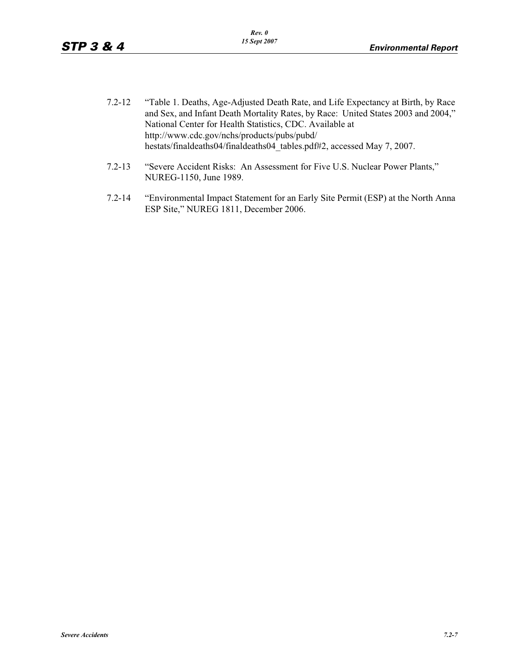- 7.2-12 "Table 1. Deaths, Age-Adjusted Death Rate, and Life Expectancy at Birth, by Race and Sex, and Infant Death Mortality Rates, by Race: United States 2003 and 2004," National Center for Health Statistics, CDC. Available at http://www.cdc.gov/nchs/products/pubs/pubd/ hestats/finaldeaths04/finaldeaths04\_tables.pdf#2, accessed May 7, 2007.
- 7.2-13 "Severe Accident Risks: An Assessment for Five U.S. Nuclear Power Plants," NUREG-1150, June 1989.
- 7.2-14 "Environmental Impact Statement for an Early Site Permit (ESP) at the North Anna ESP Site," NUREG 1811, December 2006.